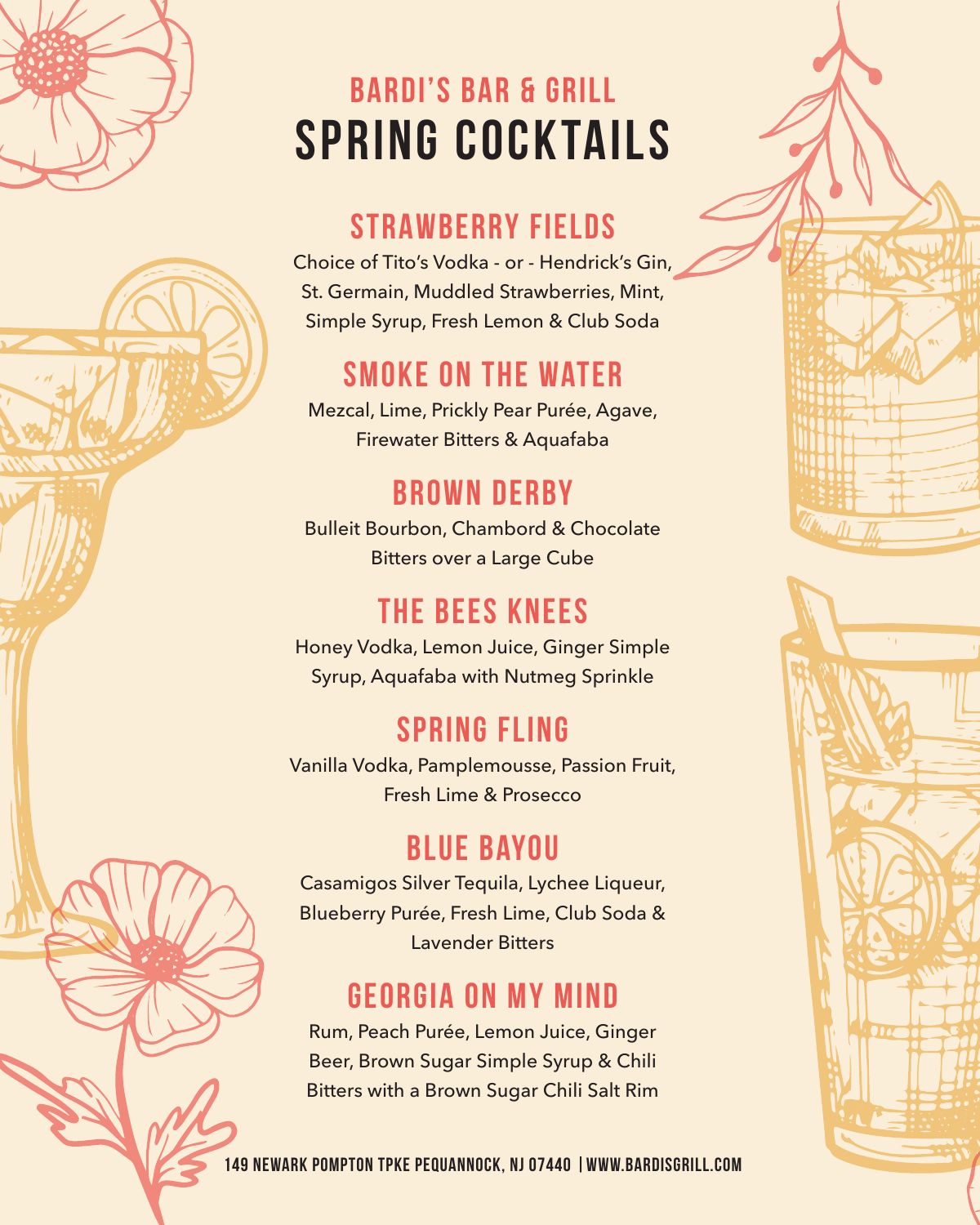

# **SPRING COCKTAILS bardi's bar & grill**

#### **STRAWBERRY FIELDS**

Choice of Tito's Vodka - or - Hendrick's Gin, St. Germain, Muddled Strawberries, Mint, Simple Syrup, Fresh Lemon & Club Soda

## **smoke on the water**

Mezcal, Lime, Prickly Pear Purée, Agave, Firewater Bitters & Aquafaba

#### **Brown derby**

Bulleit Bourbon, Chambord & Chocolate Bitters over a Large Cube

#### **the bees knees**

Honey Vodka, Lemon Juice, Ginger Simple Syrup, Aquafaba with Nutmeg Sprinkle

#### **spring fling**

Vanilla Vodka, Pamplemousse, Passion Fruit, Fresh Lime & Prosecco

#### **Blue Bayou**

Casamigos Silver Tequila, Lychee Liqueur, Blueberry Purée, Fresh Lime, Club Soda & Lavender Bitters

#### **Georgia on my mind**

Rum, Peach Purée, Lemon Juice, Ginger Beer, Brown Sugar Simple Syrup & Chili Bitters with a Brown Sugar Chili Salt Rim



149 Newark Pompton Tpke Pequannock, NJ 07440 |www.bardisgrill.com